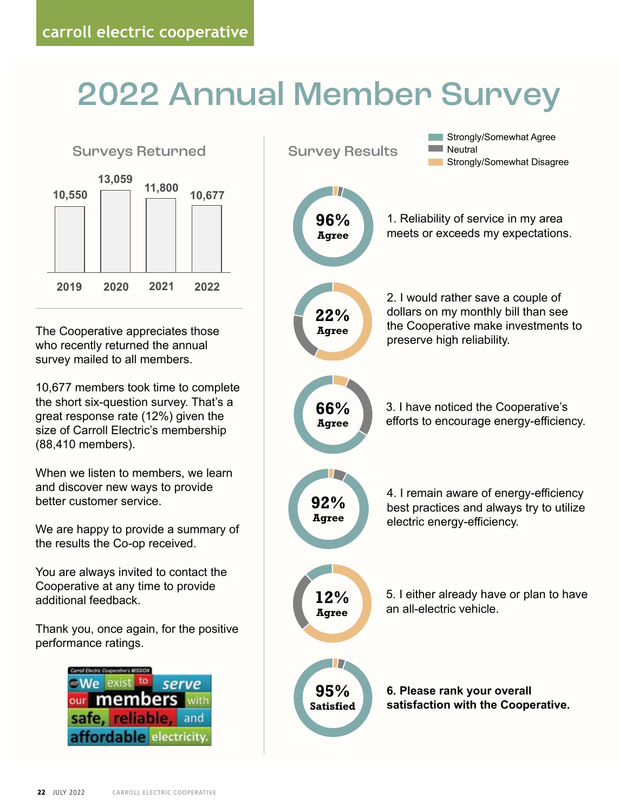## 2022 Annual Member Survey



The Cooperative appreciates those who recently returned the annual survey mailed to all members.

10,677 members took time to complete the short six-question survey. That's a great response rate (12%) given the size of Carroll Electric's membership (88,410 members).

When we listen to members, we learn and discover new ways to provide better customer service.

We are happy to provide a summary of the results the Co-op received.

You are always invited to contact the Cooperative at any time to provide additional feedback.

Thank you, once again, for the positive performance ratings.